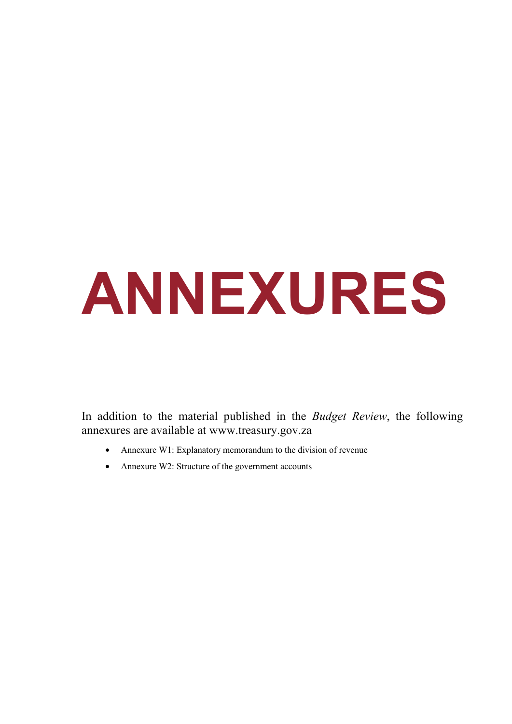# **ANNEXURES**

In addition to the material published in the *Budget Review*, the following annexures are available at www.treasury.gov.za

- Annexure W1: Explanatory memorandum to the division of revenue
- Annexure W2: Structure of the government accounts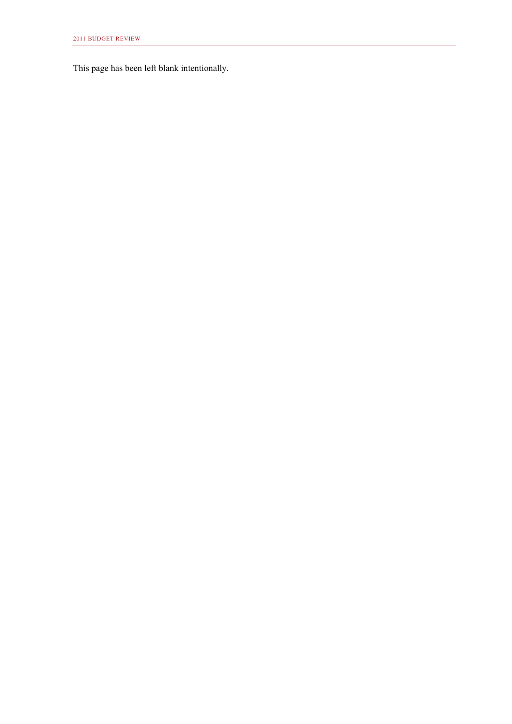This page has been left blank intentionally.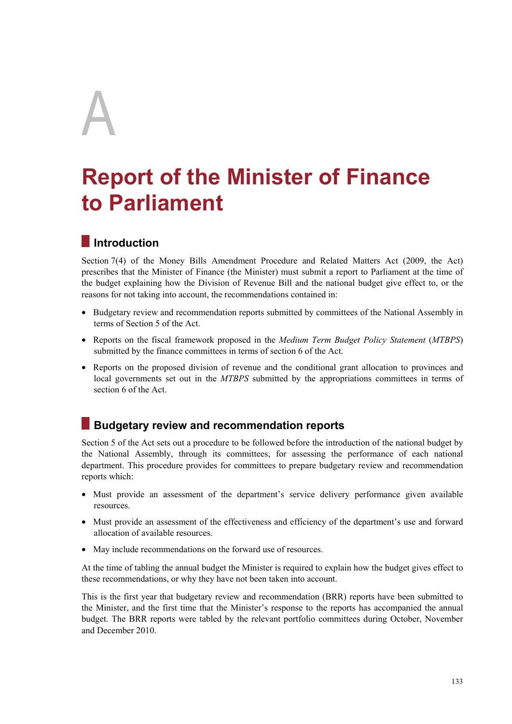# A

# **Report of the Minister of Finance to Parliament**

# **Introduction**

Section 7(4) of the Money Bills Amendment Procedure and Related Matters Act (2009, the Act) prescribes that the Minister of Finance (the Minister) must submit a report to Parliament at the time of the budget explaining how the Division of Revenue Bill and the national budget give effect to, or the reasons for not taking into account, the recommendations contained in:

- Budgetary review and recommendation reports submitted by committees of the National Assembly in terms of Section 5 of the Act.
- Reports on the fiscal framework proposed in the *Medium Term Budget Policy Statement* (*MTBPS*) submitted by the finance committees in terms of section 6 of the Act.
- Reports on the proposed division of revenue and the conditional grant allocation to provinces and local governments set out in the *MTBPS* submitted by the appropriations committees in terms of section 6 of the Act.

# **Budgetary review and recommendation reports**

Section 5 of the Act sets out a procedure to be followed before the introduction of the national budget by the National Assembly, through its committees, for assessing the performance of each national department. This procedure provides for committees to prepare budgetary review and recommendation reports which:

- Must provide an assessment of the department's service delivery performance given available resources.
- Must provide an assessment of the effectiveness and efficiency of the department's use and forward allocation of available resources.
- May include recommendations on the forward use of resources.

At the time of tabling the annual budget the Minister is required to explain how the budget gives effect to these recommendations, or why they have not been taken into account.

This is the first year that budgetary review and recommendation (BRR) reports have been submitted to the Minister, and the first time that the Minister's response to the reports has accompanied the annual budget. The BRR reports were tabled by the relevant portfolio committees during October, November and December 2010.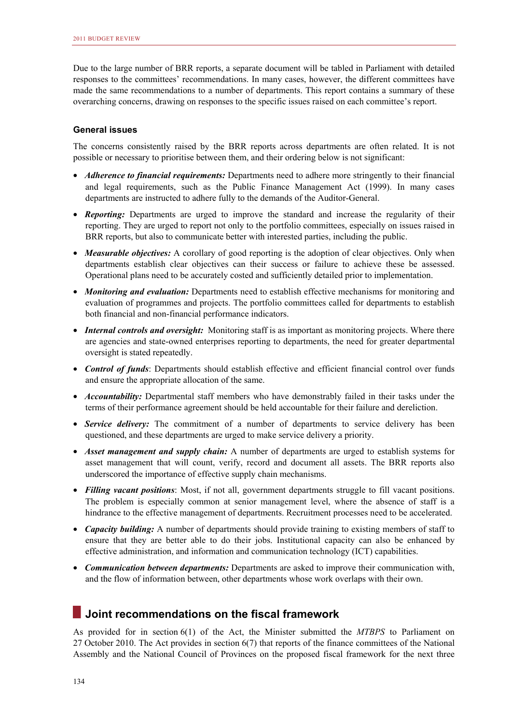Due to the large number of BRR reports, a separate document will be tabled in Parliament with detailed responses to the committees' recommendations. In many cases, however, the different committees have made the same recommendations to a number of departments. This report contains a summary of these overarching concerns, drawing on responses to the specific issues raised on each committee's report.

#### **General issues**

The concerns consistently raised by the BRR reports across departments are often related. It is not possible or necessary to prioritise between them, and their ordering below is not significant:

- *Adherence to financial requirements:* Departments need to adhere more stringently to their financial and legal requirements, such as the Public Finance Management Act (1999). In many cases departments are instructed to adhere fully to the demands of the Auditor-General.
- *Reporting:* Departments are urged to improve the standard and increase the regularity of their reporting. They are urged to report not only to the portfolio committees, especially on issues raised in BRR reports, but also to communicate better with interested parties, including the public.
- *Measurable objectives:* A corollary of good reporting is the adoption of clear objectives. Only when departments establish clear objectives can their success or failure to achieve these be assessed. Operational plans need to be accurately costed and sufficiently detailed prior to implementation.
- *Monitoring and evaluation:* Departments need to establish effective mechanisms for monitoring and evaluation of programmes and projects. The portfolio committees called for departments to establish both financial and non-financial performance indicators.
- *Internal controls and oversight:* Monitoring staff is as important as monitoring projects. Where there are agencies and state-owned enterprises reporting to departments, the need for greater departmental oversight is stated repeatedly.
- *Control of funds*: Departments should establish effective and efficient financial control over funds and ensure the appropriate allocation of the same.
- *Accountability:* Departmental staff members who have demonstrably failed in their tasks under the terms of their performance agreement should be held accountable for their failure and dereliction.
- **Service delivery:** The commitment of a number of departments to service delivery has been questioned, and these departments are urged to make service delivery a priority.
- *Asset management and supply chain:* A number of departments are urged to establish systems for asset management that will count, verify, record and document all assets. The BRR reports also underscored the importance of effective supply chain mechanisms.
- *Filling vacant positions*: Most, if not all, government departments struggle to fill vacant positions. The problem is especially common at senior management level, where the absence of staff is a hindrance to the effective management of departments. Recruitment processes need to be accelerated.
- *Capacity building:* A number of departments should provide training to existing members of staff to ensure that they are better able to do their jobs. Institutional capacity can also be enhanced by effective administration, and information and communication technology (ICT) capabilities.
- *Communication between departments:* Departments are asked to improve their communication with, and the flow of information between, other departments whose work overlaps with their own.

### **Joint recommendations on the fiscal framework**

As provided for in section 6(1) of the Act, the Minister submitted the *MTBPS* to Parliament on 27 October 2010. The Act provides in section 6(7) that reports of the finance committees of the National Assembly and the National Council of Provinces on the proposed fiscal framework for the next three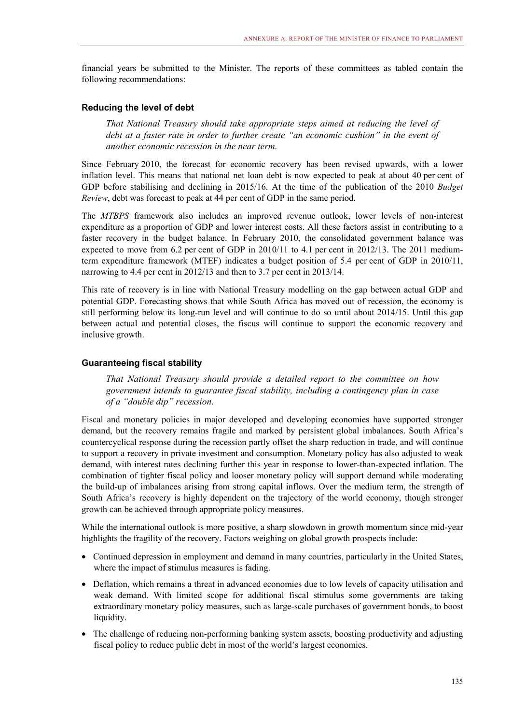financial years be submitted to the Minister. The reports of these committees as tabled contain the following recommendations:

#### **Reducing the level of debt**

*That National Treasury should take appropriate steps aimed at reducing the level of debt at a faster rate in order to further create "an economic cushion" in the event of another economic recession in the near term.* 

Since February 2010, the forecast for economic recovery has been revised upwards, with a lower inflation level. This means that national net loan debt is now expected to peak at about 40 per cent of GDP before stabilising and declining in 2015/16. At the time of the publication of the 2010 *Budget Review*, debt was forecast to peak at 44 per cent of GDP in the same period.

The *MTBPS* framework also includes an improved revenue outlook, lower levels of non-interest expenditure as a proportion of GDP and lower interest costs. All these factors assist in contributing to a faster recovery in the budget balance. In February 2010, the consolidated government balance was expected to move from 6.2 per cent of GDP in 2010/11 to 4.1 per cent in 2012/13. The 2011 mediumterm expenditure framework (MTEF) indicates a budget position of 5.4 per cent of GDP in 2010/11, narrowing to 4.4 per cent in 2012/13 and then to 3.7 per cent in 2013/14.

This rate of recovery is in line with National Treasury modelling on the gap between actual GDP and potential GDP. Forecasting shows that while South Africa has moved out of recession, the economy is still performing below its long-run level and will continue to do so until about 2014/15. Until this gap between actual and potential closes, the fiscus will continue to support the economic recovery and inclusive growth.

#### **Guaranteeing fiscal stability**

*That National Treasury should provide a detailed report to the committee on how government intends to guarantee fiscal stability, including a contingency plan in case of a "double dip" recession.* 

Fiscal and monetary policies in major developed and developing economies have supported stronger demand, but the recovery remains fragile and marked by persistent global imbalances. South Africa's countercyclical response during the recession partly offset the sharp reduction in trade, and will continue to support a recovery in private investment and consumption. Monetary policy has also adjusted to weak demand, with interest rates declining further this year in response to lower-than-expected inflation. The combination of tighter fiscal policy and looser monetary policy will support demand while moderating the build-up of imbalances arising from strong capital inflows. Over the medium term, the strength of South Africa's recovery is highly dependent on the trajectory of the world economy, though stronger growth can be achieved through appropriate policy measures.

While the international outlook is more positive, a sharp slowdown in growth momentum since mid-year highlights the fragility of the recovery. Factors weighing on global growth prospects include:

- Continued depression in employment and demand in many countries, particularly in the United States, where the impact of stimulus measures is fading.
- Deflation, which remains a threat in advanced economies due to low levels of capacity utilisation and weak demand. With limited scope for additional fiscal stimulus some governments are taking extraordinary monetary policy measures, such as large-scale purchases of government bonds, to boost liquidity.
- The challenge of reducing non-performing banking system assets, boosting productivity and adjusting fiscal policy to reduce public debt in most of the world's largest economies.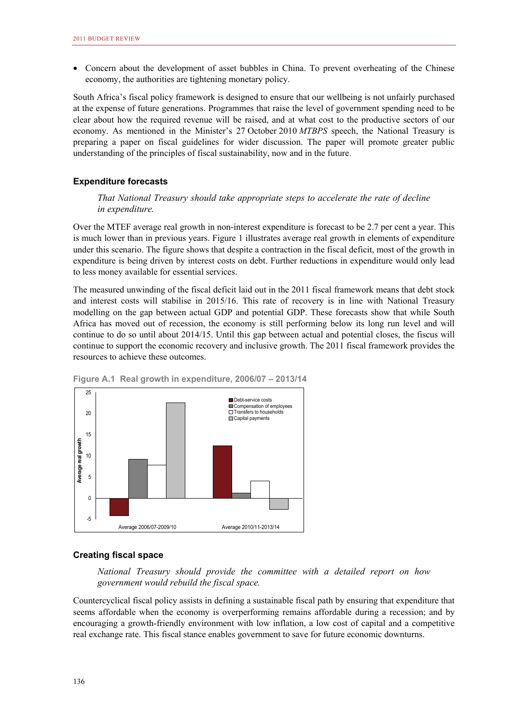• Concern about the development of asset bubbles in China. To prevent overheating of the Chinese economy, the authorities are tightening monetary policy.

South Africa's fiscal policy framework is designed to ensure that our wellbeing is not unfairly purchased at the expense of future generations. Programmes that raise the level of government spending need to be clear about how the required revenue will be raised, and at what cost to the productive sectors of our economy. As mentioned in the Minister's 27 October 2010 *MTBPS* speech, the National Treasury is preparing a paper on fiscal guidelines for wider discussion. The paper will promote greater public understanding of the principles of fiscal sustainability, now and in the future.

#### **Expenditure forecasts**

#### *That National Treasury should take appropriate steps to accelerate the rate of decline in expenditure.*

Over the MTEF average real growth in non-interest expenditure is forecast to be 2.7 per cent a year. This is much lower than in previous years. Figure 1 illustrates average real growth in elements of expenditure under this scenario. The figure shows that despite a contraction in the fiscal deficit, most of the growth in expenditure is being driven by interest costs on debt. Further reductions in expenditure would only lead to less money available for essential services.

The measured unwinding of the fiscal deficit laid out in the 2011 fiscal framework means that debt stock and interest costs will stabilise in 2015/16. This rate of recovery is in line with National Treasury modelling on the gap between actual GDP and potential GDP. These forecasts show that while South Africa has moved out of recession, the economy is still performing below its long run level and will continue to do so until about 2014/15. Until this gap between actual and potential closes, the fiscus will continue to support the economic recovery and inclusive growth. The 2011 fiscal framework provides the resources to achieve these outcomes.



**Figure A.1 Real growth in expenditure, 2006/07 – 2013/14** 

#### **Creating fiscal space**

*National Treasury should provide the committee with a detailed report on how government would rebuild the fiscal space.* 

Countercyclical fiscal policy assists in defining a sustainable fiscal path by ensuring that expenditure that seems affordable when the economy is overperforming remains affordable during a recession; and by encouraging a growth-friendly environment with low inflation, a low cost of capital and a competitive real exchange rate. This fiscal stance enables government to save for future economic downturns.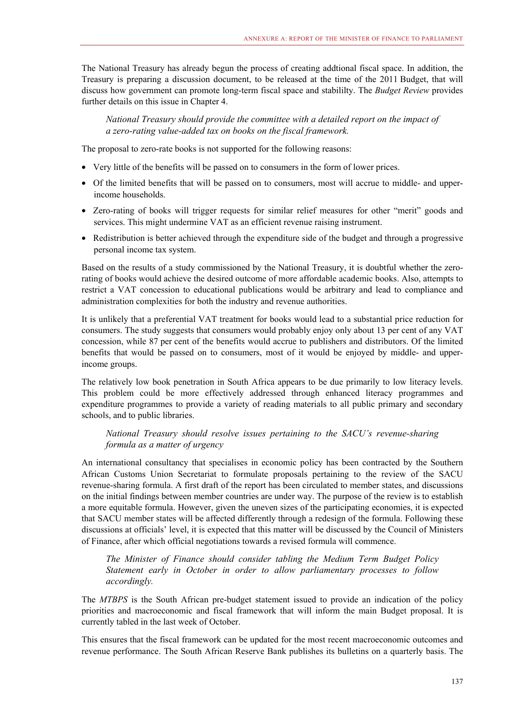The National Treasury has already begun the process of creating addtional fiscal space. In addition, the Treasury is preparing a discussion document, to be released at the time of the 2011 Budget, that will discuss how government can promote long-term fiscal space and stabililty. The *Budget Review* provides further details on this issue in Chapter 4.

*National Treasury should provide the committee with a detailed report on the impact of a zero-rating value-added tax on books on the fiscal framework.* 

The proposal to zero-rate books is not supported for the following reasons:

- Very little of the benefits will be passed on to consumers in the form of lower prices.
- Of the limited benefits that will be passed on to consumers, most will accrue to middle- and upperincome households.
- Zero-rating of books will trigger requests for similar relief measures for other "merit" goods and services. This might undermine VAT as an efficient revenue raising instrument.
- Redistribution is better achieved through the expenditure side of the budget and through a progressive personal income tax system.

Based on the results of a study commissioned by the National Treasury, it is doubtful whether the zerorating of books would achieve the desired outcome of more affordable academic books. Also, attempts to restrict a VAT concession to educational publications would be arbitrary and lead to compliance and administration complexities for both the industry and revenue authorities.

It is unlikely that a preferential VAT treatment for books would lead to a substantial price reduction for consumers. The study suggests that consumers would probably enjoy only about 13 per cent of any VAT concession, while 87 per cent of the benefits would accrue to publishers and distributors. Of the limited benefits that would be passed on to consumers, most of it would be enjoyed by middle- and upperincome groups.

The relatively low book penetration in South Africa appears to be due primarily to low literacy levels. This problem could be more effectively addressed through enhanced literacy programmes and expenditure programmes to provide a variety of reading materials to all public primary and secondary schools, and to public libraries.

#### *National Treasury should resolve issues pertaining to the SACU's revenue-sharing formula as a matter of urgency*

An international consultancy that specialises in economic policy has been contracted by the Southern African Customs Union Secretariat to formulate proposals pertaining to the review of the SACU revenue-sharing formula. A first draft of the report has been circulated to member states, and discussions on the initial findings between member countries are under way. The purpose of the review is to establish a more equitable formula. However, given the uneven sizes of the participating economies, it is expected that SACU member states will be affected differently through a redesign of the formula. Following these discussions at officials' level, it is expected that this matter will be discussed by the Council of Ministers of Finance, after which official negotiations towards a revised formula will commence.

*The Minister of Finance should consider tabling the Medium Term Budget Policy Statement early in October in order to allow parliamentary processes to follow accordingly.* 

The *MTBPS* is the South African pre-budget statement issued to provide an indication of the policy priorities and macroeconomic and fiscal framework that will inform the main Budget proposal. It is currently tabled in the last week of October.

This ensures that the fiscal framework can be updated for the most recent macroeconomic outcomes and revenue performance. The South African Reserve Bank publishes its bulletins on a quarterly basis. The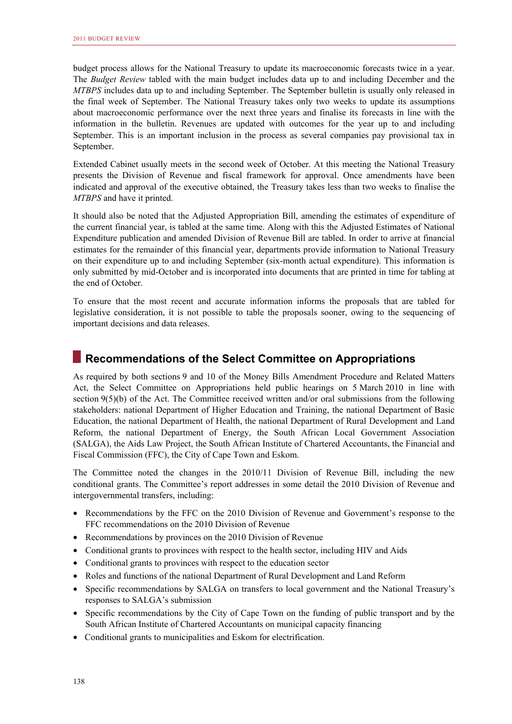budget process allows for the National Treasury to update its macroeconomic forecasts twice in a year. The *Budget Review* tabled with the main budget includes data up to and including December and the *MTBPS* includes data up to and including September. The September bulletin is usually only released in the final week of September. The National Treasury takes only two weeks to update its assumptions about macroeconomic performance over the next three years and finalise its forecasts in line with the information in the bulletin. Revenues are updated with outcomes for the year up to and including September. This is an important inclusion in the process as several companies pay provisional tax in September.

Extended Cabinet usually meets in the second week of October. At this meeting the National Treasury presents the Division of Revenue and fiscal framework for approval. Once amendments have been indicated and approval of the executive obtained, the Treasury takes less than two weeks to finalise the *MTBPS* and have it printed.

It should also be noted that the Adjusted Appropriation Bill, amending the estimates of expenditure of the current financial year, is tabled at the same time. Along with this the Adjusted Estimates of National Expenditure publication and amended Division of Revenue Bill are tabled. In order to arrive at financial estimates for the remainder of this financial year, departments provide information to National Treasury on their expenditure up to and including September (six-month actual expenditure). This information is only submitted by mid-October and is incorporated into documents that are printed in time for tabling at the end of October.

To ensure that the most recent and accurate information informs the proposals that are tabled for legislative consideration, it is not possible to table the proposals sooner, owing to the sequencing of important decisions and data releases.

## **Recommendations of the Select Committee on Appropriations**

As required by both sections 9 and 10 of the Money Bills Amendment Procedure and Related Matters Act, the Select Committee on Appropriations held public hearings on 5 March 2010 in line with section 9(5)(b) of the Act. The Committee received written and/or oral submissions from the following stakeholders: national Department of Higher Education and Training, the national Department of Basic Education, the national Department of Health, the national Department of Rural Development and Land Reform, the national Department of Energy, the South African Local Government Association (SALGA), the Aids Law Project, the South African Institute of Chartered Accountants, the Financial and Fiscal Commission (FFC), the City of Cape Town and Eskom.

The Committee noted the changes in the 2010/11 Division of Revenue Bill, including the new conditional grants. The Committee's report addresses in some detail the 2010 Division of Revenue and intergovernmental transfers, including:

- Recommendations by the FFC on the 2010 Division of Revenue and Government's response to the FFC recommendations on the 2010 Division of Revenue
- Recommendations by provinces on the 2010 Division of Revenue
- Conditional grants to provinces with respect to the health sector, including HIV and Aids
- Conditional grants to provinces with respect to the education sector
- Roles and functions of the national Department of Rural Development and Land Reform
- Specific recommendations by SALGA on transfers to local government and the National Treasury's responses to SALGA's submission
- Specific recommendations by the City of Cape Town on the funding of public transport and by the South African Institute of Chartered Accountants on municipal capacity financing
- Conditional grants to municipalities and Eskom for electrification.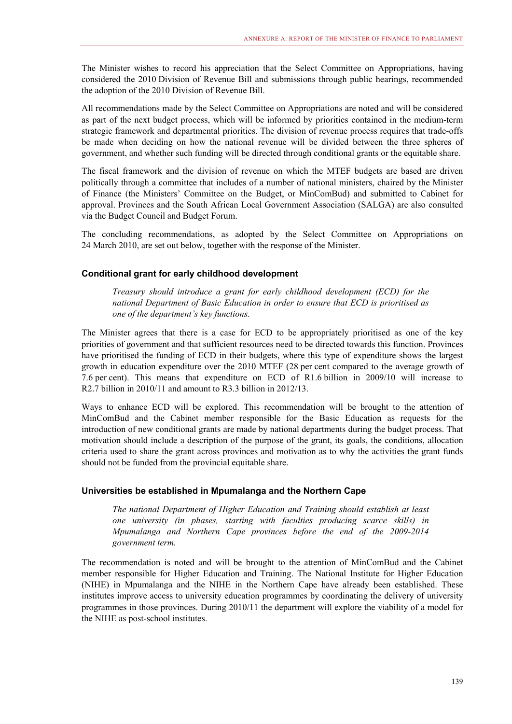The Minister wishes to record his appreciation that the Select Committee on Appropriations, having considered the 2010 Division of Revenue Bill and submissions through public hearings, recommended the adoption of the 2010 Division of Revenue Bill.

All recommendations made by the Select Committee on Appropriations are noted and will be considered as part of the next budget process, which will be informed by priorities contained in the medium-term strategic framework and departmental priorities. The division of revenue process requires that trade-offs be made when deciding on how the national revenue will be divided between the three spheres of government, and whether such funding will be directed through conditional grants or the equitable share.

The fiscal framework and the division of revenue on which the MTEF budgets are based are driven politically through a committee that includes of a number of national ministers, chaired by the Minister of Finance (the Ministers' Committee on the Budget, or MinComBud) and submitted to Cabinet for approval. Provinces and the South African Local Government Association (SALGA) are also consulted via the Budget Council and Budget Forum.

The concluding recommendations, as adopted by the Select Committee on Appropriations on 24 March 2010, are set out below, together with the response of the Minister.

#### **Conditional grant for early childhood development**

*Treasury should introduce a grant for early childhood development (ECD) for the national Department of Basic Education in order to ensure that ECD is prioritised as one of the department's key functions.* 

The Minister agrees that there is a case for ECD to be appropriately prioritised as one of the key priorities of government and that sufficient resources need to be directed towards this function. Provinces have prioritised the funding of ECD in their budgets, where this type of expenditure shows the largest growth in education expenditure over the 2010 MTEF (28 per cent compared to the average growth of 7.6 per cent). This means that expenditure on ECD of R1.6 billion in 2009/10 will increase to R2.7 billion in 2010/11 and amount to R3.3 billion in 2012/13.

Ways to enhance ECD will be explored. This recommendation will be brought to the attention of MinComBud and the Cabinet member responsible for the Basic Education as requests for the introduction of new conditional grants are made by national departments during the budget process. That motivation should include a description of the purpose of the grant, its goals, the conditions, allocation criteria used to share the grant across provinces and motivation as to why the activities the grant funds should not be funded from the provincial equitable share.

#### **Universities be established in Mpumalanga and the Northern Cape**

*The national Department of Higher Education and Training should establish at least one university (in phases, starting with faculties producing scarce skills) in Mpumalanga and Northern Cape provinces before the end of the 2009-2014 government term.* 

The recommendation is noted and will be brought to the attention of MinComBud and the Cabinet member responsible for Higher Education and Training. The National Institute for Higher Education (NIHE) in Mpumalanga and the NIHE in the Northern Cape have already been established. These institutes improve access to university education programmes by coordinating the delivery of university programmes in those provinces. During 2010/11 the department will explore the viability of a model for the NIHE as post-school institutes.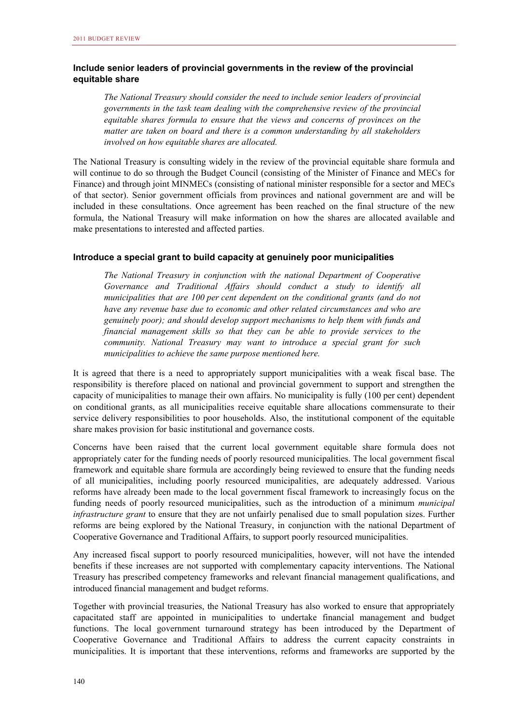#### **Include senior leaders of provincial governments in the review of the provincial equitable share**

*The National Treasury should consider the need to include senior leaders of provincial governments in the task team dealing with the comprehensive review of the provincial equitable shares formula to ensure that the views and concerns of provinces on the matter are taken on board and there is a common understanding by all stakeholders involved on how equitable shares are allocated.* 

The National Treasury is consulting widely in the review of the provincial equitable share formula and will continue to do so through the Budget Council (consisting of the Minister of Finance and MECs for Finance) and through joint MINMECs (consisting of national minister responsible for a sector and MECs of that sector). Senior government officials from provinces and national government are and will be included in these consultations. Once agreement has been reached on the final structure of the new formula, the National Treasury will make information on how the shares are allocated available and make presentations to interested and affected parties.

#### **Introduce a special grant to build capacity at genuinely poor municipalities**

*The National Treasury in conjunction with the national Department of Cooperative Governance and Traditional Affairs should conduct a study to identify all municipalities that are 100 per cent dependent on the conditional grants (and do not have any revenue base due to economic and other related circumstances and who are genuinely poor); and should develop support mechanisms to help them with funds and financial management skills so that they can be able to provide services to the community. National Treasury may want to introduce a special grant for such municipalities to achieve the same purpose mentioned here.* 

It is agreed that there is a need to appropriately support municipalities with a weak fiscal base. The responsibility is therefore placed on national and provincial government to support and strengthen the capacity of municipalities to manage their own affairs. No municipality is fully (100 per cent) dependent on conditional grants, as all municipalities receive equitable share allocations commensurate to their service delivery responsibilities to poor households. Also, the institutional component of the equitable share makes provision for basic institutional and governance costs.

Concerns have been raised that the current local government equitable share formula does not appropriately cater for the funding needs of poorly resourced municipalities. The local government fiscal framework and equitable share formula are accordingly being reviewed to ensure that the funding needs of all municipalities, including poorly resourced municipalities, are adequately addressed. Various reforms have already been made to the local government fiscal framework to increasingly focus on the funding needs of poorly resourced municipalities, such as the introduction of a minimum *municipal infrastructure grant* to ensure that they are not unfairly penalised due to small population sizes. Further reforms are being explored by the National Treasury, in conjunction with the national Department of Cooperative Governance and Traditional Affairs, to support poorly resourced municipalities.

Any increased fiscal support to poorly resourced municipalities, however, will not have the intended benefits if these increases are not supported with complementary capacity interventions. The National Treasury has prescribed competency frameworks and relevant financial management qualifications, and introduced financial management and budget reforms.

Together with provincial treasuries, the National Treasury has also worked to ensure that appropriately capacitated staff are appointed in municipalities to undertake financial management and budget functions. The local government turnaround strategy has been introduced by the Department of Cooperative Governance and Traditional Affairs to address the current capacity constraints in municipalities. It is important that these interventions, reforms and frameworks are supported by the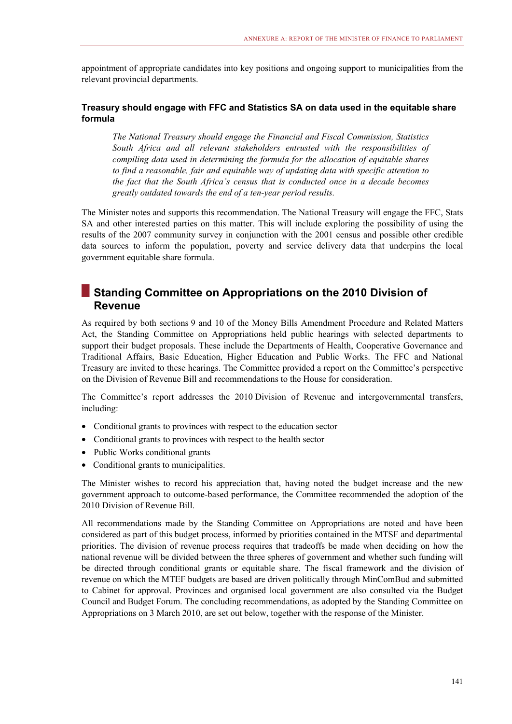appointment of appropriate candidates into key positions and ongoing support to municipalities from the relevant provincial departments.

#### **Treasury should engage with FFC and Statistics SA on data used in the equitable share formula**

*The National Treasury should engage the Financial and Fiscal Commission, Statistics South Africa and all relevant stakeholders entrusted with the responsibilities of compiling data used in determining the formula for the allocation of equitable shares to find a reasonable, fair and equitable way of updating data with specific attention to the fact that the South Africa's census that is conducted once in a decade becomes greatly outdated towards the end of a ten-year period results.* 

The Minister notes and supports this recommendation. The National Treasury will engage the FFC, Stats SA and other interested parties on this matter. This will include exploring the possibility of using the results of the 2007 community survey in conjunction with the 2001 census and possible other credible data sources to inform the population, poverty and service delivery data that underpins the local government equitable share formula.

### **Standing Committee on Appropriations on the 2010 Division of Revenue**

As required by both sections 9 and 10 of the Money Bills Amendment Procedure and Related Matters Act, the Standing Committee on Appropriations held public hearings with selected departments to support their budget proposals. These include the Departments of Health, Cooperative Governance and Traditional Affairs, Basic Education, Higher Education and Public Works. The FFC and National Treasury are invited to these hearings. The Committee provided a report on the Committee's perspective on the Division of Revenue Bill and recommendations to the House for consideration.

The Committee's report addresses the 2010 Division of Revenue and intergovernmental transfers, including:

- Conditional grants to provinces with respect to the education sector
- Conditional grants to provinces with respect to the health sector
- Public Works conditional grants
- Conditional grants to municipalities.

The Minister wishes to record his appreciation that, having noted the budget increase and the new government approach to outcome-based performance, the Committee recommended the adoption of the 2010 Division of Revenue Bill.

All recommendations made by the Standing Committee on Appropriations are noted and have been considered as part of this budget process, informed by priorities contained in the MTSF and departmental priorities. The division of revenue process requires that tradeoffs be made when deciding on how the national revenue will be divided between the three spheres of government and whether such funding will be directed through conditional grants or equitable share. The fiscal framework and the division of revenue on which the MTEF budgets are based are driven politically through MinComBud and submitted to Cabinet for approval. Provinces and organised local government are also consulted via the Budget Council and Budget Forum. The concluding recommendations, as adopted by the Standing Committee on Appropriations on 3 March 2010, are set out below, together with the response of the Minister.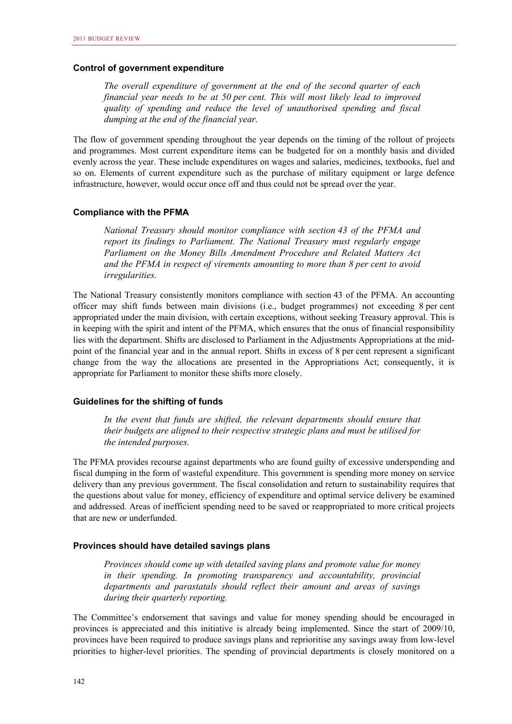#### **Control of government expenditure**

*The overall expenditure of government at the end of the second quarter of each financial year needs to be at 50 per cent. This will most likely lead to improved quality of spending and reduce the level of unauthorised spending and fiscal dumping at the end of the financial year.* 

The flow of government spending throughout the year depends on the timing of the rollout of projects and programmes. Most current expenditure items can be budgeted for on a monthly basis and divided evenly across the year. These include expenditures on wages and salaries, medicines, textbooks, fuel and so on. Elements of current expenditure such as the purchase of military equipment or large defence infrastructure, however, would occur once off and thus could not be spread over the year.

#### **Compliance with the PFMA**

*National Treasury should monitor compliance with section 43 of the PFMA and report its findings to Parliament. The National Treasury must regularly engage Parliament on the Money Bills Amendment Procedure and Related Matters Act and the PFMA in respect of virements amounting to more than 8 per cent to avoid irregularities.* 

The National Treasury consistently monitors compliance with section 43 of the PFMA. An accounting officer may shift funds between main divisions (i.e., budget programmes) not exceeding 8 per cent appropriated under the main division, with certain exceptions, without seeking Treasury approval. This is in keeping with the spirit and intent of the PFMA, which ensures that the onus of financial responsibility lies with the department. Shifts are disclosed to Parliament in the Adjustments Appropriations at the midpoint of the financial year and in the annual report. Shifts in excess of 8 per cent represent a significant change from the way the allocations are presented in the Appropriations Act; consequently, it is appropriate for Parliament to monitor these shifts more closely.

#### **Guidelines for the shifting of funds**

In the event that funds are shifted, the relevant departments should ensure that *their budgets are aligned to their respective strategic plans and must be utilised for the intended purposes.* 

The PFMA provides recourse against departments who are found guilty of excessive underspending and fiscal dumping in the form of wasteful expenditure. This government is spending more money on service delivery than any previous government. The fiscal consolidation and return to sustainability requires that the questions about value for money, efficiency of expenditure and optimal service delivery be examined and addressed. Areas of inefficient spending need to be saved or reappropriated to more critical projects that are new or underfunded.

#### **Provinces should have detailed savings plans**

*Provinces should come up with detailed saving plans and promote value for money in their spending. In promoting transparency and accountability, provincial departments and parastatals should reflect their amount and areas of savings during their quarterly reporting.* 

The Committee's endorsement that savings and value for money spending should be encouraged in provinces is appreciated and this initiative is already being implemented. Since the start of 2009/10, provinces have been required to produce savings plans and reprioritise any savings away from low-level priorities to higher-level priorities. The spending of provincial departments is closely monitored on a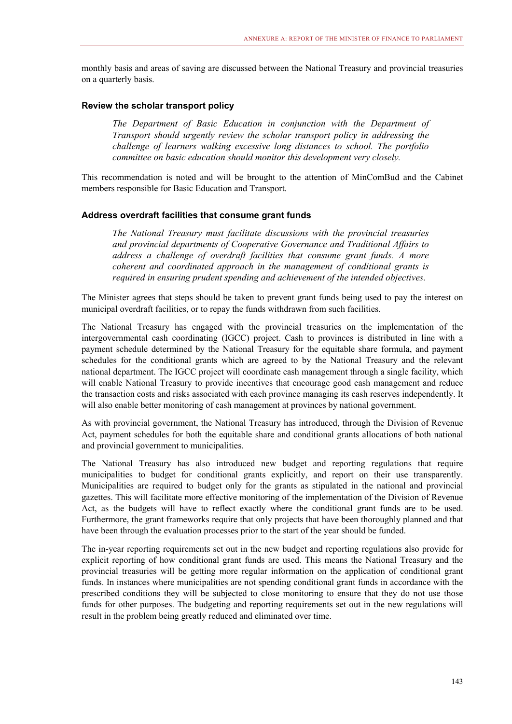monthly basis and areas of saving are discussed between the National Treasury and provincial treasuries on a quarterly basis.

#### **Review the scholar transport policy**

*The Department of Basic Education in conjunction with the Department of Transport should urgently review the scholar transport policy in addressing the challenge of learners walking excessive long distances to school. The portfolio committee on basic education should monitor this development very closely.* 

This recommendation is noted and will be brought to the attention of MinComBud and the Cabinet members responsible for Basic Education and Transport.

#### **Address overdraft facilities that consume grant funds**

*The National Treasury must facilitate discussions with the provincial treasuries and provincial departments of Cooperative Governance and Traditional Affairs to address a challenge of overdraft facilities that consume grant funds. A more coherent and coordinated approach in the management of conditional grants is required in ensuring prudent spending and achievement of the intended objectives.* 

The Minister agrees that steps should be taken to prevent grant funds being used to pay the interest on municipal overdraft facilities, or to repay the funds withdrawn from such facilities.

The National Treasury has engaged with the provincial treasuries on the implementation of the intergovernmental cash coordinating (IGCC) project. Cash to provinces is distributed in line with a payment schedule determined by the National Treasury for the equitable share formula, and payment schedules for the conditional grants which are agreed to by the National Treasury and the relevant national department. The IGCC project will coordinate cash management through a single facility, which will enable National Treasury to provide incentives that encourage good cash management and reduce the transaction costs and risks associated with each province managing its cash reserves independently. It will also enable better monitoring of cash management at provinces by national government.

As with provincial government, the National Treasury has introduced, through the Division of Revenue Act, payment schedules for both the equitable share and conditional grants allocations of both national and provincial government to municipalities.

The National Treasury has also introduced new budget and reporting regulations that require municipalities to budget for conditional grants explicitly, and report on their use transparently. Municipalities are required to budget only for the grants as stipulated in the national and provincial gazettes. This will facilitate more effective monitoring of the implementation of the Division of Revenue Act, as the budgets will have to reflect exactly where the conditional grant funds are to be used. Furthermore, the grant frameworks require that only projects that have been thoroughly planned and that have been through the evaluation processes prior to the start of the year should be funded.

The in-year reporting requirements set out in the new budget and reporting regulations also provide for explicit reporting of how conditional grant funds are used. This means the National Treasury and the provincial treasuries will be getting more regular information on the application of conditional grant funds. In instances where municipalities are not spending conditional grant funds in accordance with the prescribed conditions they will be subjected to close monitoring to ensure that they do not use those funds for other purposes. The budgeting and reporting requirements set out in the new regulations will result in the problem being greatly reduced and eliminated over time.